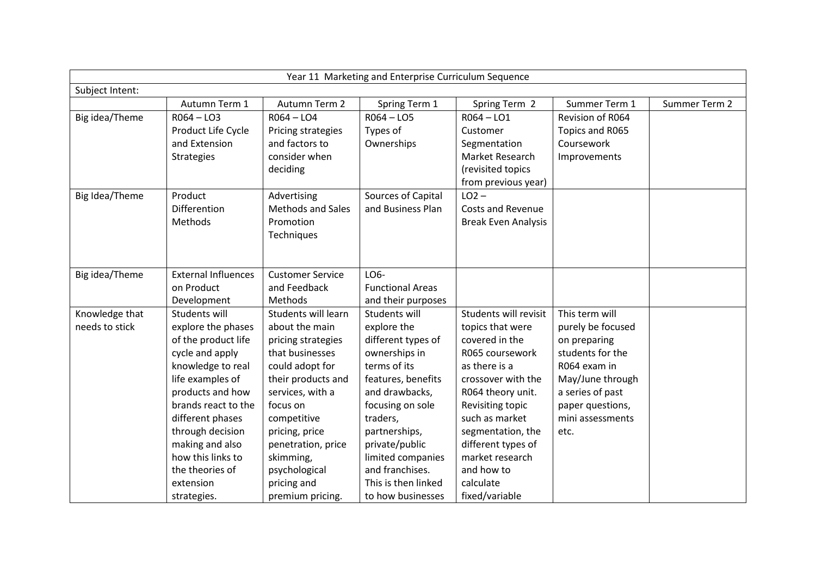| Year 11 Marketing and Enterprise Curriculum Sequence |                            |                          |                         |                            |                   |               |  |
|------------------------------------------------------|----------------------------|--------------------------|-------------------------|----------------------------|-------------------|---------------|--|
| Subject Intent:                                      |                            |                          |                         |                            |                   |               |  |
|                                                      | Autumn Term 1              | Autumn Term 2            | Spring Term 1           | Spring Term 2              | Summer Term 1     | Summer Term 2 |  |
| Big idea/Theme                                       | $R064 - L03$               | $R064 - L04$             | $RO64 - LO5$            | $R064 - LO1$               | Revision of R064  |               |  |
|                                                      | Product Life Cycle         | Pricing strategies       | Types of                | Customer                   | Topics and R065   |               |  |
|                                                      | and Extension              | and factors to           | Ownerships              | Segmentation               | Coursework        |               |  |
|                                                      | <b>Strategies</b>          | consider when            |                         | Market Research            | Improvements      |               |  |
|                                                      |                            | deciding                 |                         | (revisited topics          |                   |               |  |
|                                                      |                            |                          |                         | from previous year)        |                   |               |  |
| Big Idea/Theme                                       | Product                    | Advertising              | Sources of Capital      | $LO2 -$                    |                   |               |  |
|                                                      | Differention               | <b>Methods and Sales</b> | and Business Plan       | <b>Costs and Revenue</b>   |                   |               |  |
|                                                      | Methods                    | Promotion                |                         | <b>Break Even Analysis</b> |                   |               |  |
|                                                      |                            | Techniques               |                         |                            |                   |               |  |
|                                                      |                            |                          |                         |                            |                   |               |  |
|                                                      |                            |                          |                         |                            |                   |               |  |
| Big idea/Theme                                       | <b>External Influences</b> | <b>Customer Service</b>  | LO6-                    |                            |                   |               |  |
|                                                      | on Product                 | and Feedback             | <b>Functional Areas</b> |                            |                   |               |  |
|                                                      | Development                | Methods                  | and their purposes      |                            |                   |               |  |
| Knowledge that                                       | Students will              | Students will learn      | Students will           | Students will revisit      | This term will    |               |  |
| needs to stick                                       | explore the phases         | about the main           | explore the             | topics that were           | purely be focused |               |  |
|                                                      | of the product life        | pricing strategies       | different types of      | covered in the             | on preparing      |               |  |
|                                                      | cycle and apply            | that businesses          | ownerships in           | R065 coursework            | students for the  |               |  |
|                                                      | knowledge to real          | could adopt for          | terms of its            | as there is a              | R064 exam in      |               |  |
|                                                      | life examples of           | their products and       | features, benefits      | crossover with the         | May/June through  |               |  |
|                                                      | products and how           | services, with a         | and drawbacks,          | R064 theory unit.          | a series of past  |               |  |
|                                                      | brands react to the        | focus on                 | focusing on sole        | Revisiting topic           | paper questions,  |               |  |
|                                                      | different phases           | competitive              | traders,                | such as market             | mini assessments  |               |  |
|                                                      | through decision           | pricing, price           | partnerships,           | segmentation, the          | etc.              |               |  |
|                                                      | making and also            | penetration, price       | private/public          | different types of         |                   |               |  |
|                                                      | how this links to          | skimming,                | limited companies       | market research            |                   |               |  |
|                                                      | the theories of            | psychological            | and franchises.         | and how to                 |                   |               |  |
|                                                      | extension                  | pricing and              | This is then linked     | calculate                  |                   |               |  |
|                                                      | strategies.                | premium pricing.         | to how businesses       | fixed/variable             |                   |               |  |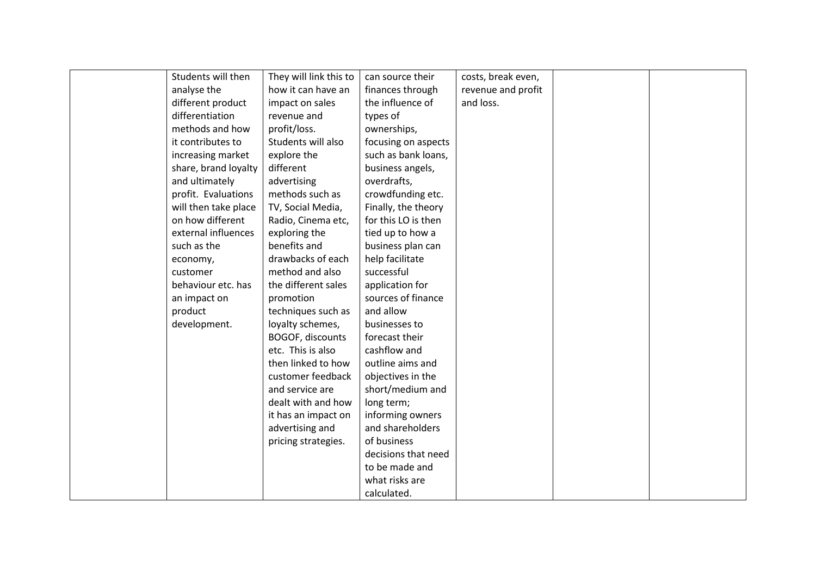| Students will then   | They will link this to | can source their    | costs, break even, |  |
|----------------------|------------------------|---------------------|--------------------|--|
| analyse the          | how it can have an     | finances through    | revenue and profit |  |
| different product    | impact on sales        | the influence of    | and loss.          |  |
| differentiation      | revenue and            | types of            |                    |  |
| methods and how      | profit/loss.           | ownerships,         |                    |  |
| it contributes to    | Students will also     | focusing on aspects |                    |  |
| increasing market    | explore the            | such as bank loans, |                    |  |
| share, brand loyalty | different              | business angels,    |                    |  |
| and ultimately       | advertising            | overdrafts,         |                    |  |
| profit. Evaluations  | methods such as        | crowdfunding etc.   |                    |  |
| will then take place | TV, Social Media,      | Finally, the theory |                    |  |
| on how different     | Radio, Cinema etc,     | for this LO is then |                    |  |
| external influences  | exploring the          | tied up to how a    |                    |  |
| such as the          | benefits and           | business plan can   |                    |  |
| economy,             | drawbacks of each      | help facilitate     |                    |  |
| customer             | method and also        | successful          |                    |  |
| behaviour etc. has   | the different sales    | application for     |                    |  |
| an impact on         | promotion              | sources of finance  |                    |  |
| product              | techniques such as     | and allow           |                    |  |
| development.         | loyalty schemes,       | businesses to       |                    |  |
|                      | BOGOF, discounts       | forecast their      |                    |  |
|                      | etc. This is also      | cashflow and        |                    |  |
|                      | then linked to how     | outline aims and    |                    |  |
|                      | customer feedback      | objectives in the   |                    |  |
|                      | and service are        | short/medium and    |                    |  |
|                      | dealt with and how     | long term;          |                    |  |
|                      | it has an impact on    | informing owners    |                    |  |
|                      | advertising and        | and shareholders    |                    |  |
|                      | pricing strategies.    | of business         |                    |  |
|                      |                        | decisions that need |                    |  |
|                      |                        | to be made and      |                    |  |
|                      |                        | what risks are      |                    |  |
|                      |                        | calculated.         |                    |  |